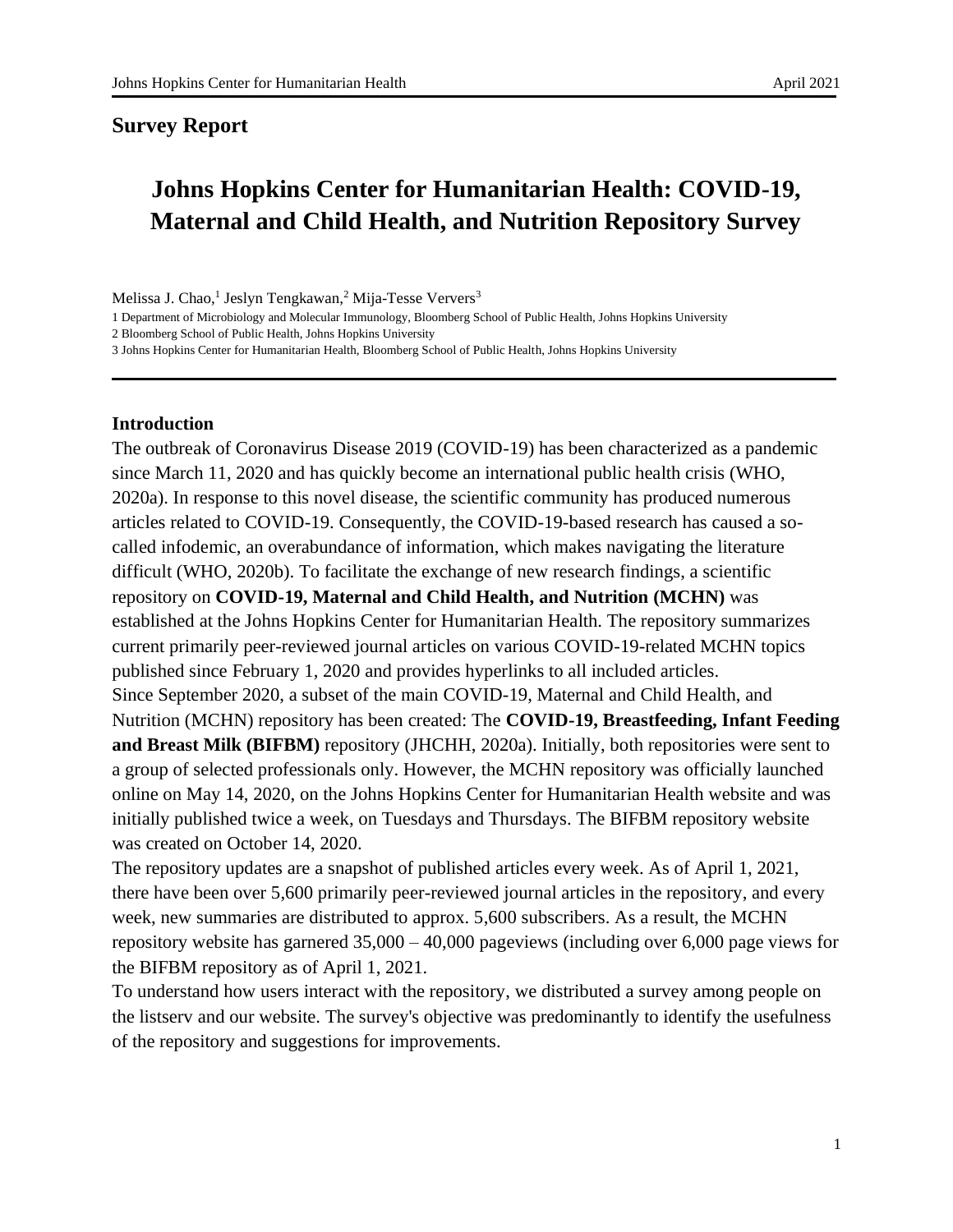#### **Survey Report**

# **Johns Hopkins Center for Humanitarian Health: COVID-19, Maternal and Child Health, and Nutrition Repository Survey**

Melissa J. Chao,<sup>1</sup> Jeslyn Tengkawan,<sup>2</sup> Mija-Tesse Ververs<sup>3</sup>

1 Department of Microbiology and Molecular Immunology, Bloomberg School of Public Health, Johns Hopkins University

2 Bloomberg School of Public Health, Johns Hopkins University

3 Johns Hopkins Center for Humanitarian Health, Bloomberg School of Public Health, Johns Hopkins University

#### **Introduction**

The outbreak of Coronavirus Disease 2019 (COVID-19) has been characterized as a pandemic since March 11, 2020 and has quickly become an international public health crisis (WHO, 2020a). In response to this novel disease, the scientific community has produced numerous articles related to COVID-19. Consequently, the COVID-19-based research has caused a socalled infodemic, an overabundance of information, which makes navigating the literature difficult (WHO, 2020b). To facilitate the exchange of new research findings, a scientific repository on **COVID-19, Maternal and Child Health, and Nutrition (MCHN)** was established at the Johns Hopkins Center for Humanitarian Health. The repository summarizes current primarily peer-reviewed journal articles on various COVID-19-related MCHN topics published since February 1, 2020 and provides hyperlinks to all included articles. Since September 2020, a subset of the main COVID-19, Maternal and Child Health, and Nutrition (MCHN) repository has been created: The **COVID-19, Breastfeeding, Infant Feeding and Breast Milk (BIFBM)** repository (JHCHH, 2020a). Initially, both repositories were sent to a group of selected professionals only. However, the MCHN repository was officially launched online on May 14, 2020, on the Johns Hopkins Center for Humanitarian Health website and was initially published twice a week, on Tuesdays and Thursdays. The BIFBM repository website was created on October 14, 2020.

The repository updates are a snapshot of published articles every week. As of April 1, 2021, there have been over 5,600 primarily peer-reviewed journal articles in the repository, and every week, new summaries are distributed to approx. 5,600 subscribers. As a result, the MCHN repository website has garnered 35,000 – 40,000 pageviews (including over 6,000 page views for the BIFBM repository as of April 1, 2021.

To understand how users interact with the repository, we distributed a survey among people on the listserv and our website. The survey's objective was predominantly to identify the usefulness of the repository and suggestions for improvements.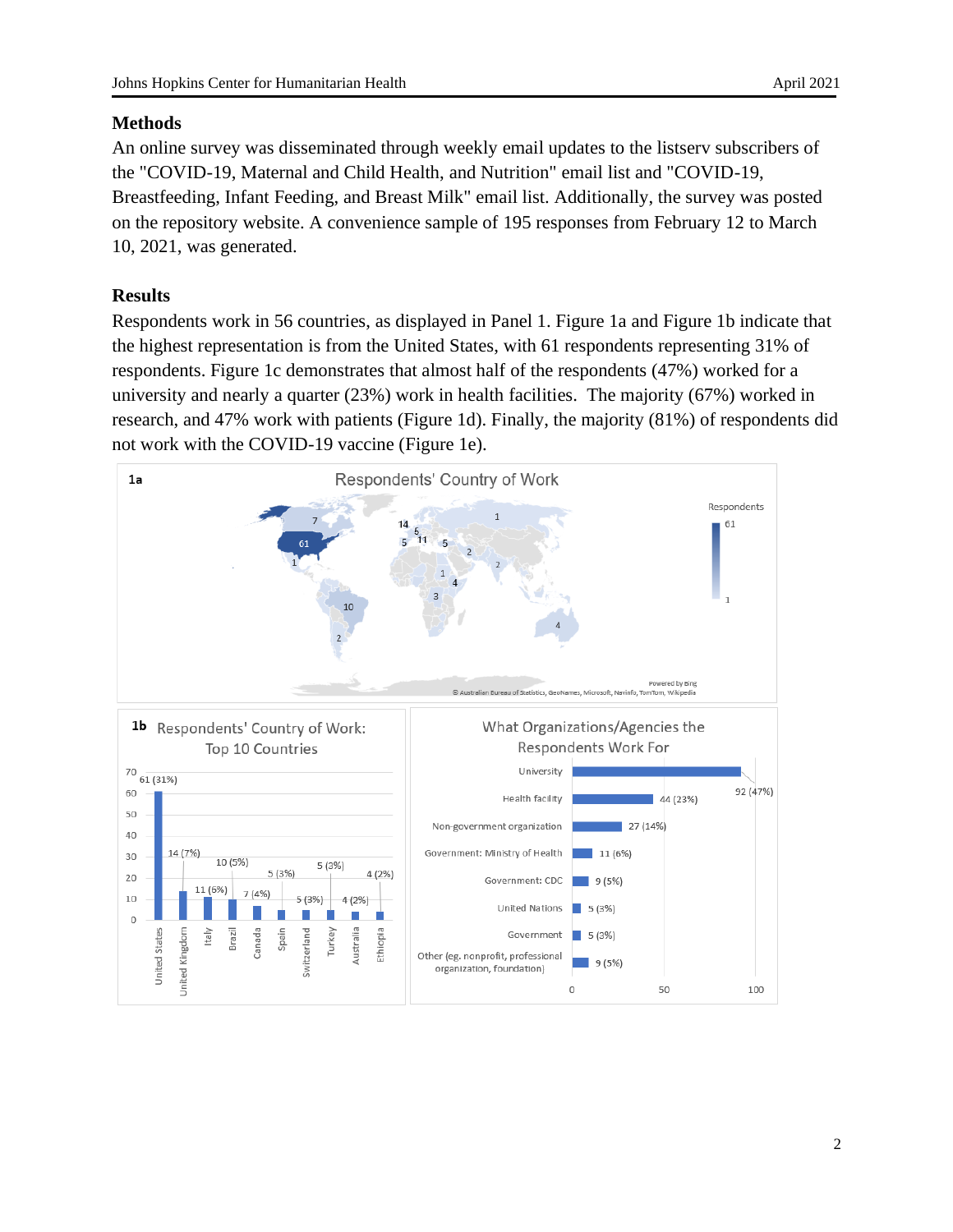## **Methods**

An online survey was disseminated through weekly email updates to the listserv subscribers of the "COVID-19, Maternal and Child Health, and Nutrition" email list and "COVID-19, Breastfeeding, Infant Feeding, and Breast Milk" email list. Additionally, the survey was posted on the repository website. A convenience sample of 195 responses from February 12 to March 10, 2021, was generated.

## **Results**

Respondents work in 56 countries, as displayed in Panel 1. Figure 1a and Figure 1b indicate that the highest representation is from the United States, with 61 respondents representing 31% of respondents. Figure 1c demonstrates that almost half of the respondents (47%) worked for a university and nearly a quarter (23%) work in health facilities. The majority (67%) worked in research, and 47% work with patients (Figure 1d). Finally, the majority (81%) of respondents did not work with the COVID-19 vaccine (Figure 1e).

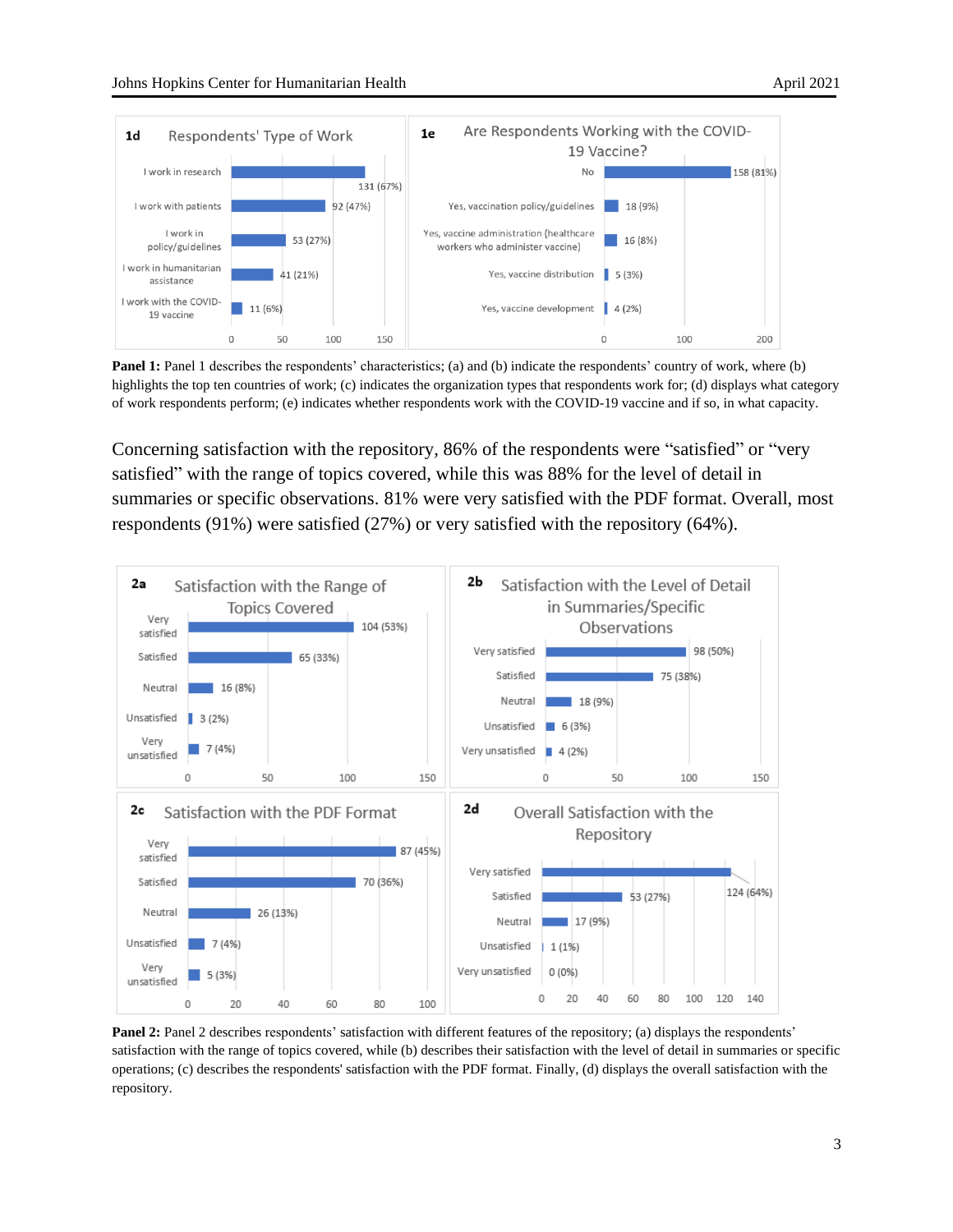

**Panel 1:** Panel 1 describes the respondents' characteristics; (a) and (b) indicate the respondents' country of work, where (b) highlights the top ten countries of work; (c) indicates the organization types that respondents work for; (d) displays what category of work respondents perform; (e) indicates whether respondents work with the COVID-19 vaccine and if so, in what capacity.

Concerning satisfaction with the repository, 86% of the respondents were "satisfied" or "very satisfied" with the range of topics covered, while this was 88% for the level of detail in summaries or specific observations. 81% were very satisfied with the PDF format. Overall, most respondents (91%) were satisfied (27%) or very satisfied with the repository (64%).



**Panel 2:** Panel 2 describes respondents' satisfaction with different features of the repository; (a) displays the respondents' satisfaction with the range of topics covered, while (b) describes their satisfaction with the level of detail in summaries or specific operations; (c) describes the respondents' satisfaction with the PDF format. Finally, (d) displays the overall satisfaction with the repository.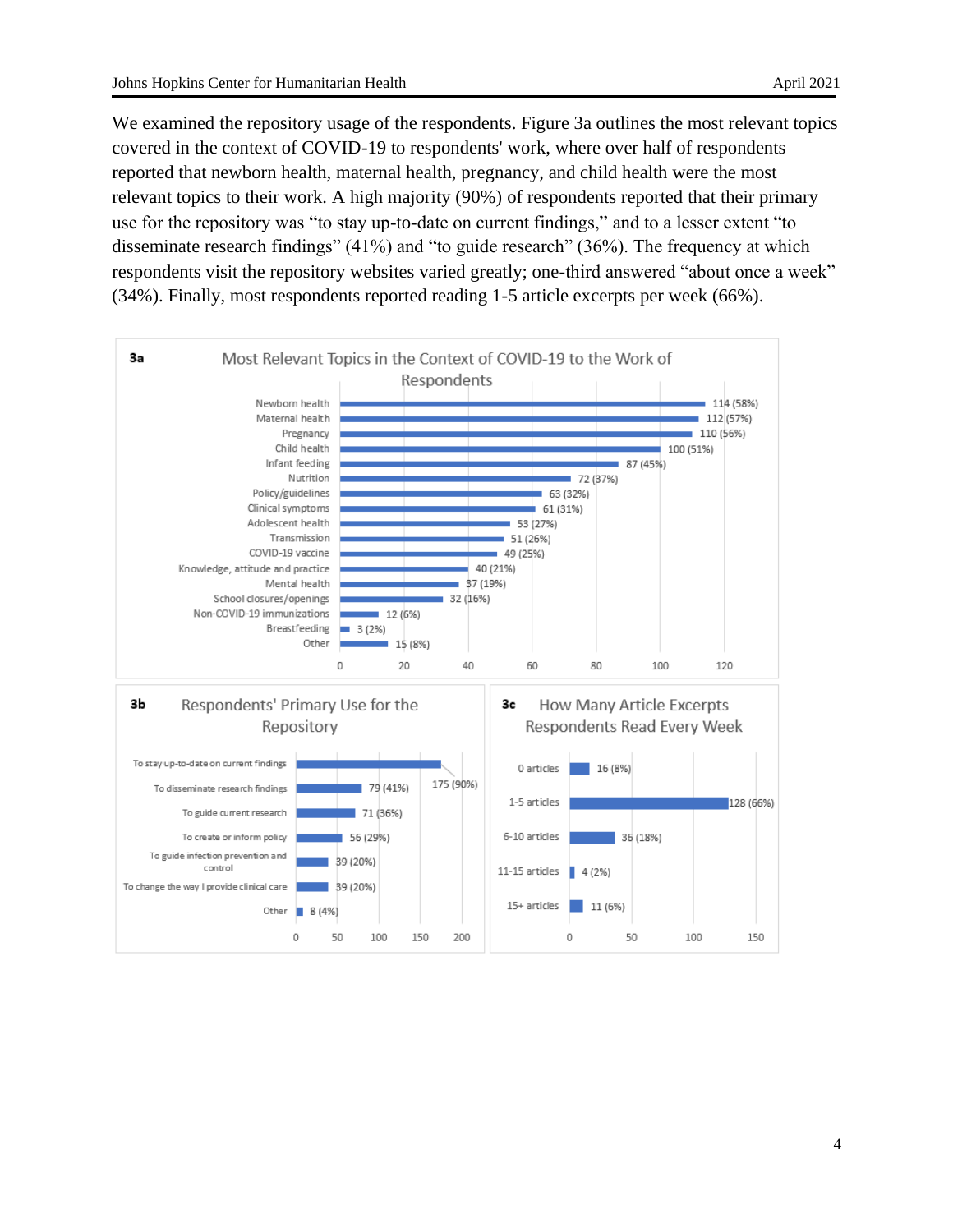We examined the repository usage of the respondents. Figure 3a outlines the most relevant topics covered in the context of COVID-19 to respondents' work, where over half of respondents reported that newborn health, maternal health, pregnancy, and child health were the most relevant topics to their work. A high majority (90%) of respondents reported that their primary use for the repository was "to stay up-to-date on current findings," and to a lesser extent "to disseminate research findings" (41%) and "to guide research" (36%). The frequency at which respondents visit the repository websites varied greatly; one-third answered "about once a week" (34%). Finally, most respondents reported reading 1-5 article excerpts per week (66%).

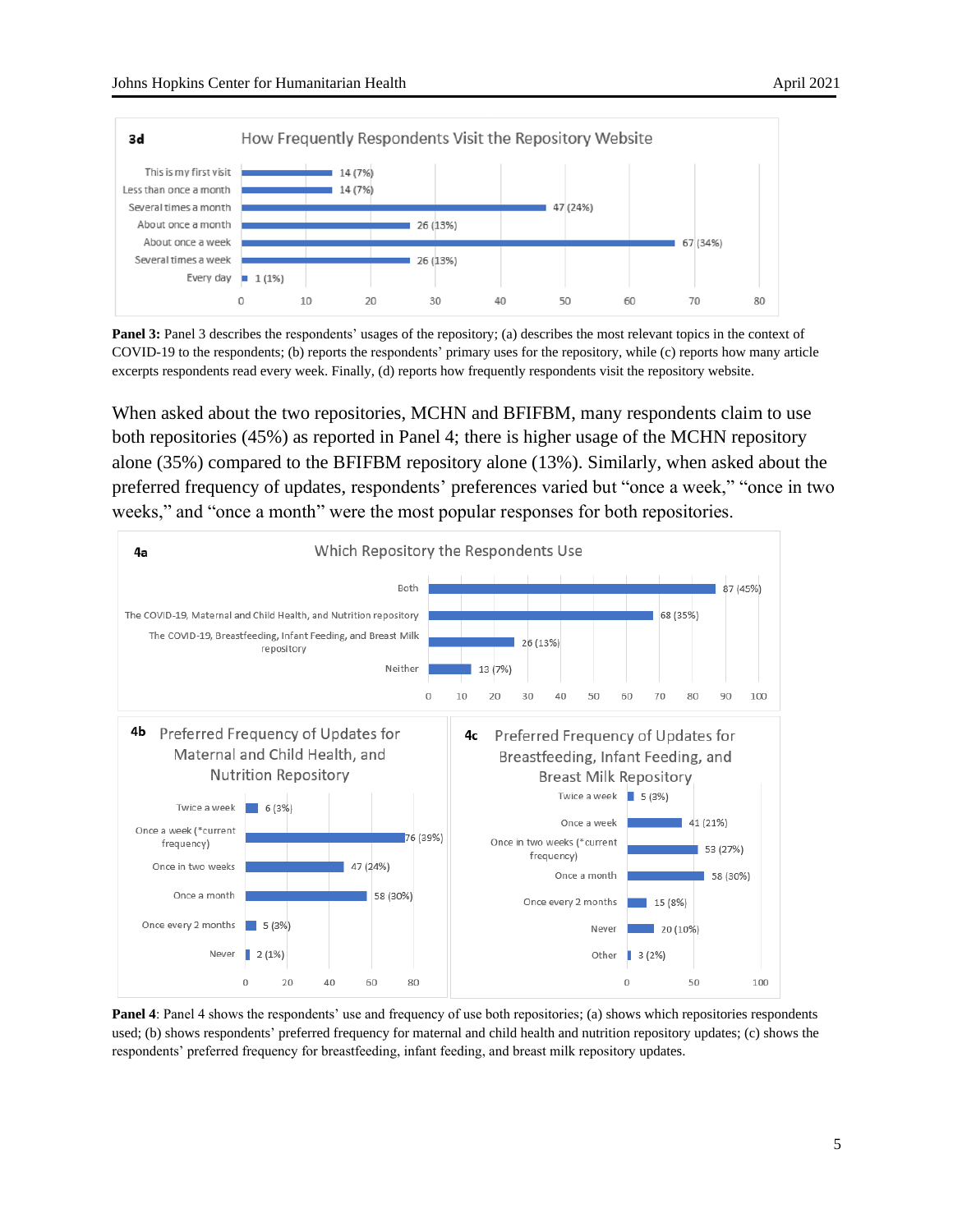

**Panel 3:** Panel 3 describes the respondents' usages of the repository; (a) describes the most relevant topics in the context of COVID-19 to the respondents; (b) reports the respondents' primary uses for the repository, while (c) reports how many article excerpts respondents read every week. Finally, (d) reports how frequently respondents visit the repository website.

When asked about the two repositories, MCHN and BFIFBM, many respondents claim to use both repositories (45%) as reported in Panel 4; there is higher usage of the MCHN repository alone (35%) compared to the BFIFBM repository alone (13%). Similarly, when asked about the preferred frequency of updates, respondents' preferences varied but "once a week," "once in two weeks," and "once a month" were the most popular responses for both repositories.



**Panel 4**: Panel 4 shows the respondents' use and frequency of use both repositories; (a) shows which repositories respondents used; (b) shows respondents' preferred frequency for maternal and child health and nutrition repository updates; (c) shows the respondents' preferred frequency for breastfeeding, infant feeding, and breast milk repository updates.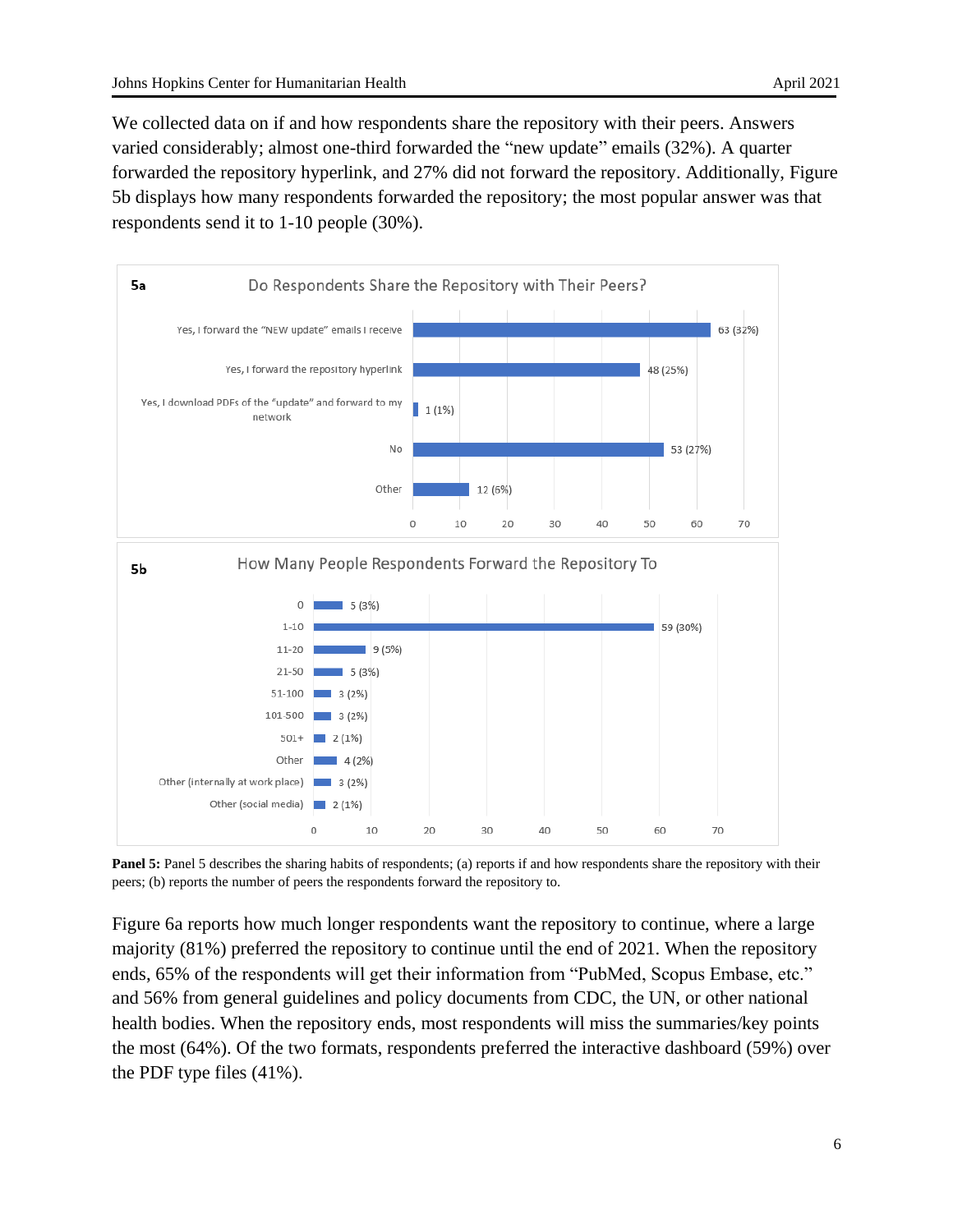We collected data on if and how respondents share the repository with their peers. Answers varied considerably; almost one-third forwarded the "new update" emails (32%). A quarter forwarded the repository hyperlink, and 27% did not forward the repository. Additionally, Figure 5b displays how many respondents forwarded the repository; the most popular answer was that respondents send it to 1-10 people (30%).



**Panel 5:** Panel 5 describes the sharing habits of respondents; (a) reports if and how respondents share the repository with their peers; (b) reports the number of peers the respondents forward the repository to.

Figure 6a reports how much longer respondents want the repository to continue, where a large majority (81%) preferred the repository to continue until the end of 2021. When the repository ends, 65% of the respondents will get their information from "PubMed, Scopus Embase, etc." and 56% from general guidelines and policy documents from CDC, the UN, or other national health bodies. When the repository ends, most respondents will miss the summaries/key points the most (64%). Of the two formats, respondents preferred the interactive dashboard (59%) over the PDF type files (41%).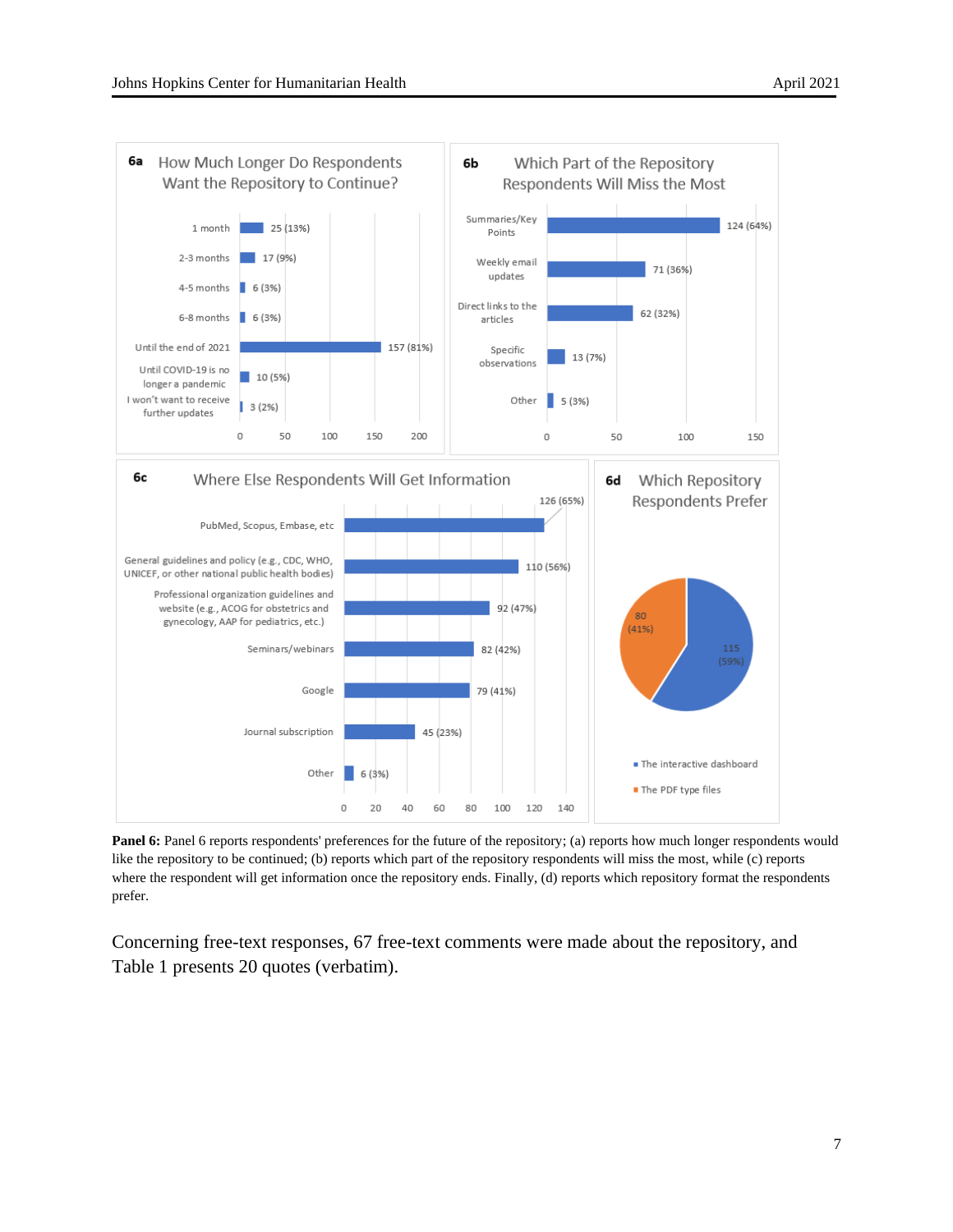

**Panel 6:** Panel 6 reports respondents' preferences for the future of the repository; (a) reports how much longer respondents would like the repository to be continued; (b) reports which part of the repository respondents will miss the most, while (c) reports where the respondent will get information once the repository ends. Finally, (d) reports which repository format the respondents prefer.

Concerning free-text responses, 67 free-text comments were made about the repository, and Table 1 presents 20 quotes (verbatim).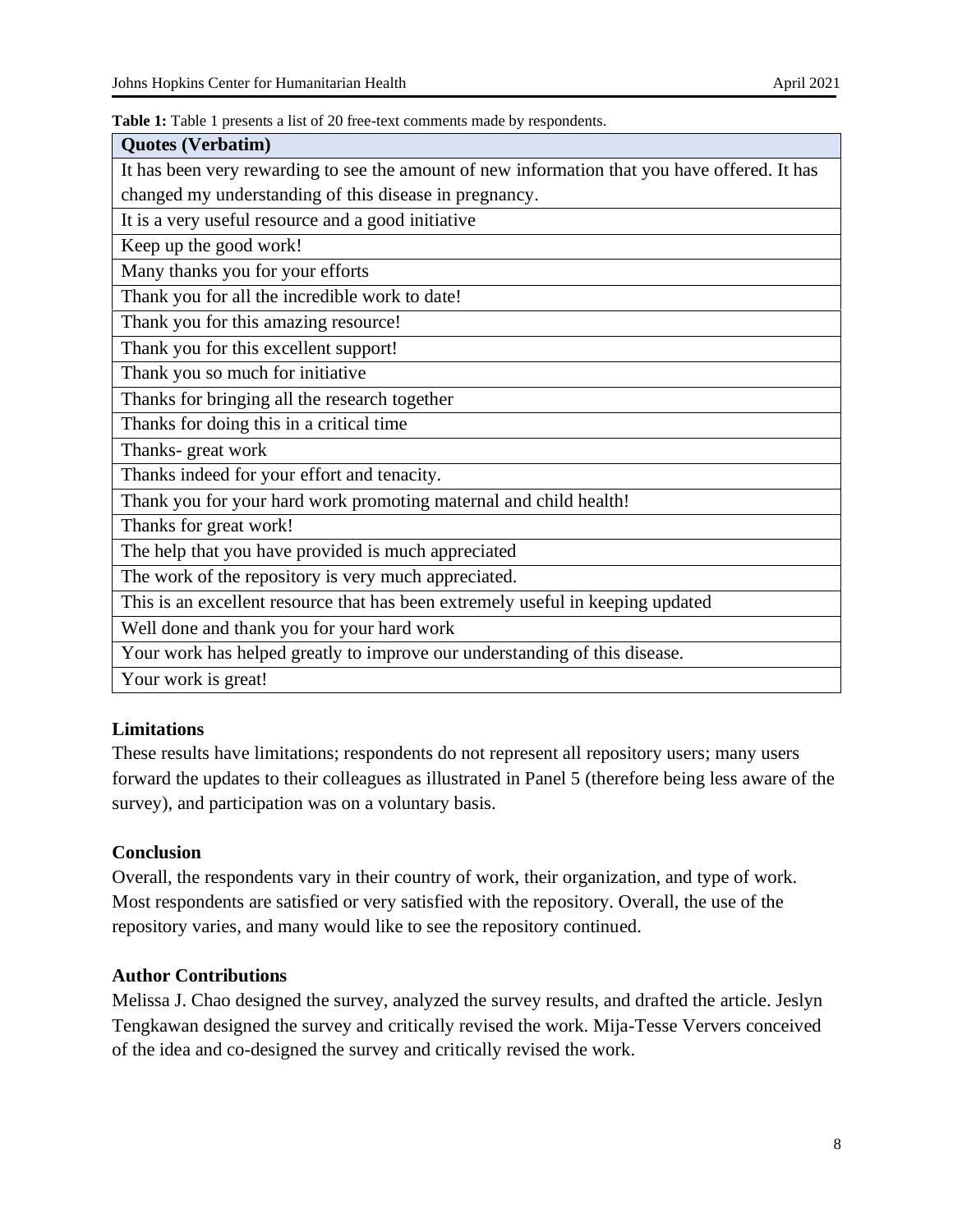**Table 1:** Table 1 presents a list of 20 free-text comments made by respondents.

| <b>Quotes (Verbatim)</b>                                                                      |
|-----------------------------------------------------------------------------------------------|
| It has been very rewarding to see the amount of new information that you have offered. It has |
| changed my understanding of this disease in pregnancy.                                        |
| It is a very useful resource and a good initiative                                            |
| Keep up the good work!                                                                        |
| Many thanks you for your efforts                                                              |
| Thank you for all the incredible work to date!                                                |
| Thank you for this amazing resource!                                                          |
| Thank you for this excellent support!                                                         |
| Thank you so much for initiative                                                              |
| Thanks for bringing all the research together                                                 |
| Thanks for doing this in a critical time                                                      |
| Thanks-great work                                                                             |
| Thanks indeed for your effort and tenacity.                                                   |
| Thank you for your hard work promoting maternal and child health!                             |
| Thanks for great work!                                                                        |
| The help that you have provided is much appreciated                                           |
| The work of the repository is very much appreciated.                                          |
| This is an excellent resource that has been extremely useful in keeping updated               |
| Well done and thank you for your hard work                                                    |
| Your work has helped greatly to improve our understanding of this disease.                    |
| Your work is great!                                                                           |

## **Limitations**

These results have limitations; respondents do not represent all repository users; many users forward the updates to their colleagues as illustrated in Panel 5 (therefore being less aware of the survey), and participation was on a voluntary basis.

## **Conclusion**

Overall, the respondents vary in their country of work, their organization, and type of work. Most respondents are satisfied or very satisfied with the repository. Overall, the use of the repository varies, and many would like to see the repository continued.

## **Author Contributions**

Melissa J. Chao designed the survey, analyzed the survey results, and drafted the article. Jeslyn Tengkawan designed the survey and critically revised the work. Mija-Tesse Ververs conceived of the idea and co-designed the survey and critically revised the work.